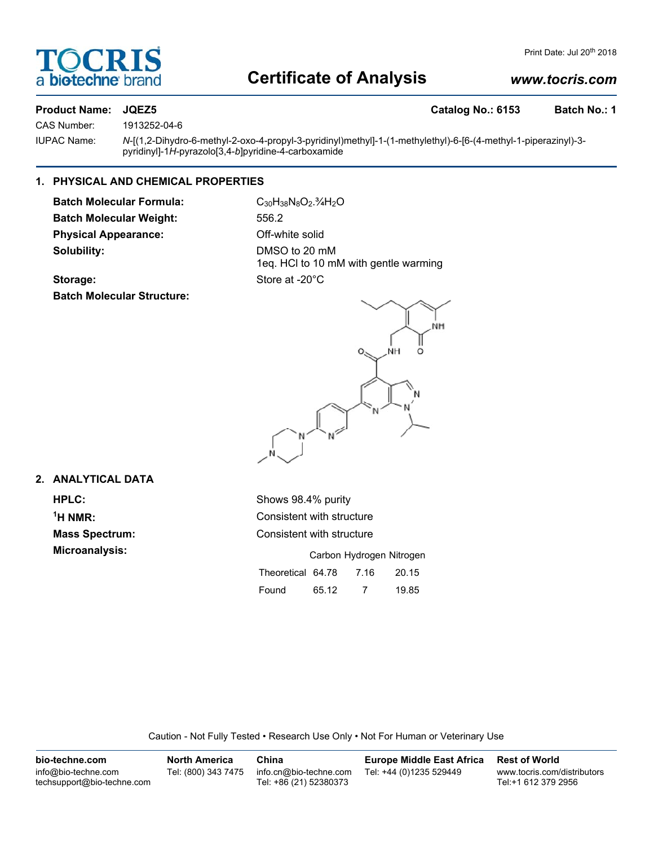

# **Certificate of Analysis**

# *www.tocris.com*

# **Product Name: JQEZ5 Catalog No.: 6153 Batch No.: 1**

CAS Number: 1913252-04-6

IUPAC Name: *N*-[(1,2-Dihydro-6-methyl-2-oxo-4-propyl-3-pyridinyl)methyl]-1-(1-methylethyl)-6-[6-(4-methyl-1-piperazinyl)-3pyridinyl]-1*H*-pyrazolo[3,4-*b*]pyridine-4-carboxamide

## **1. PHYSICAL AND CHEMICAL PROPERTIES**

Batch Molecular Formula: C<sub>30</sub>H<sub>38</sub>N<sub>8</sub>O<sub>2</sub>.<sup>3</sup>/<sub>4</sub>H<sub>2</sub>O **Batch Molecular Weight:** 556.2 **Physical Appearance: Off-white solid Solubility:** DMSO to 20 mM

1eq. HCl to 10 mM with gentle warming Storage: Store at -20°C

**Batch Molecular Structure:**



# **2. ANALYTICAL DATA**

 $<sup>1</sup>H NMR$ :</sup>

**HPLC:** Shows 98.4% purity **Consistent with structure Mass Spectrum:** Consistent with structure **Microanalysis:** Microanalysis: Exercise 2012 **Carbon Hydrogen Nitrogen** Theoretical 64.78 7.16 20.15 Found 65.12 7 19.85

Caution - Not Fully Tested • Research Use Only • Not For Human or Veterinary Use

| bio-techne.com                                    | <b>North America</b> | China                                            | <b>Europe Middle East Africa</b> | <b>Rest of World</b>                               |
|---------------------------------------------------|----------------------|--------------------------------------------------|----------------------------------|----------------------------------------------------|
| info@bio-techne.com<br>techsupport@bio-techne.com | Tel: (800) 343 7475  | info.cn@bio-techne.com<br>Tel: +86 (21) 52380373 | Tel: +44 (0)1235 529449          | www.tocris.com/distributors<br>Tel:+1 612 379 2956 |